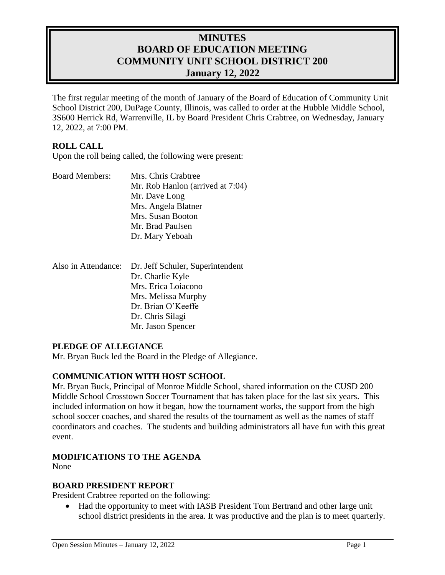# **MINUTES BOARD OF EDUCATION MEETING COMMUNITY UNIT SCHOOL DISTRICT 200 January 12, 2022**

The first regular meeting of the month of January of the Board of Education of Community Unit School District 200, DuPage County, Illinois, was called to order at the Hubble Middle School, 3S600 Herrick Rd, Warrenville, IL by Board President Chris Crabtree, on Wednesday, January 12, 2022, at 7:00 PM.

### **ROLL CALL**

Upon the roll being called, the following were present:

| <b>Board Members:</b> | Mrs. Chris Crabtree              |
|-----------------------|----------------------------------|
|                       | Mr. Rob Hanlon (arrived at 7:04) |
|                       | Mr. Dave Long                    |
|                       | Mrs. Angela Blatner              |
|                       | Mrs. Susan Booton                |
|                       | Mr. Brad Paulsen                 |
|                       | Dr. Mary Yeboah                  |

| Also in Attendance: Dr. Jeff Schuler, Superintendent |
|------------------------------------------------------|
| Dr. Charlie Kyle                                     |
| Mrs. Erica Loiacono                                  |
| Mrs. Melissa Murphy                                  |
| Dr. Brian O'Keeffe                                   |
| Dr. Chris Silagi                                     |
| Mr. Jason Spencer                                    |

#### **PLEDGE OF ALLEGIANCE**

Mr. Bryan Buck led the Board in the Pledge of Allegiance.

### **COMMUNICATION WITH HOST SCHOOL**

Mr. Bryan Buck, Principal of Monroe Middle School, shared information on the CUSD 200 Middle School Crosstown Soccer Tournament that has taken place for the last six years. This included information on how it began, how the tournament works, the support from the high school soccer coaches, and shared the results of the tournament as well as the names of staff coordinators and coaches. The students and building administrators all have fun with this great event.

### **MODIFICATIONS TO THE AGENDA**

None

#### **BOARD PRESIDENT REPORT**

President Crabtree reported on the following:

 Had the opportunity to meet with IASB President Tom Bertrand and other large unit school district presidents in the area. It was productive and the plan is to meet quarterly.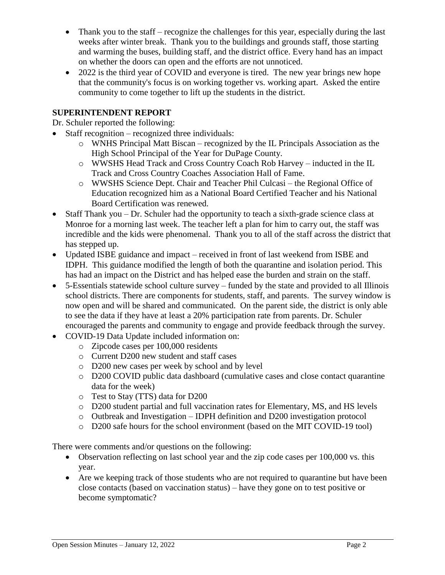- Thank you to the staff recognize the challenges for this year, especially during the last weeks after winter break. Thank you to the buildings and grounds staff, those starting and warming the buses, building staff, and the district office. Every hand has an impact on whether the doors can open and the efforts are not unnoticed.
- 2022 is the third year of COVID and everyone is tired. The new year brings new hope that the community's focus is on working together vs. working apart. Asked the entire community to come together to lift up the students in the district.

# **SUPERINTENDENT REPORT**

Dr. Schuler reported the following:

- Staff recognition recognized three individuals:
	- o WNHS Principal Matt Biscan recognized by the IL Principals Association as the High School Principal of the Year for DuPage County.
	- o WWSHS Head Track and Cross Country Coach Rob Harvey inducted in the IL Track and Cross Country Coaches Association Hall of Fame.
	- o WWSHS Science Dept. Chair and Teacher Phil Culcasi the Regional Office of Education recognized him as a National Board Certified Teacher and his National Board Certification was renewed.
- $\bullet$  Staff Thank you Dr. Schuler had the opportunity to teach a sixth-grade science class at Monroe for a morning last week. The teacher left a plan for him to carry out, the staff was incredible and the kids were phenomenal. Thank you to all of the staff across the district that has stepped up.
- Updated ISBE guidance and impact received in front of last weekend from ISBE and IDPH. This guidance modified the length of both the quarantine and isolation period. This has had an impact on the District and has helped ease the burden and strain on the staff.
- 5-Essentials statewide school culture survey funded by the state and provided to all Illinois school districts. There are components for students, staff, and parents. The survey window is now open and will be shared and communicated. On the parent side, the district is only able to see the data if they have at least a 20% participation rate from parents. Dr. Schuler encouraged the parents and community to engage and provide feedback through the survey.
- COVID-19 Data Update included information on:
	- o Zipcode cases per 100,000 residents
	- o Current D200 new student and staff cases
	- o D200 new cases per week by school and by level
	- o D200 COVID public data dashboard (cumulative cases and close contact quarantine data for the week)
	- o Test to Stay (TTS) data for D200
	- o D200 student partial and full vaccination rates for Elementary, MS, and HS levels
	- o Outbreak and Investigation IDPH definition and D200 investigation protocol
	- o D200 safe hours for the school environment (based on the MIT COVID-19 tool)

There were comments and/or questions on the following:

- Observation reflecting on last school year and the zip code cases per 100,000 vs. this year.
- Are we keeping track of those students who are not required to quarantine but have been close contacts (based on vaccination status) – have they gone on to test positive or become symptomatic?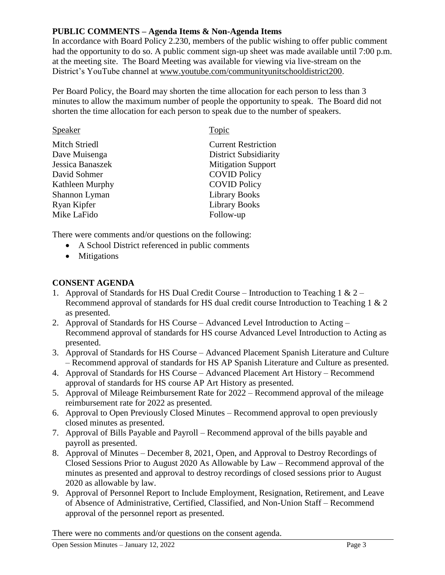# **PUBLIC COMMENTS – Agenda Items & Non-Agenda Items**

In accordance with Board Policy 2.230, members of the public wishing to offer public comment had the opportunity to do so. A public comment sign-up sheet was made available until 7:00 p.m. at the meeting site. The Board Meeting was available for viewing via live-stream on the District's YouTube channel at [www.youtube.com/communityunitschooldistrict200.](http://www.youtube.com/communityunitschooldistrict200)

Per Board Policy, the Board may shorten the time allocation for each person to less than 3 minutes to allow the maximum number of people the opportunity to speak. The Board did not shorten the time allocation for each person to speak due to the number of speakers.

| Speaker              | Topic                        |
|----------------------|------------------------------|
| <b>Mitch Striedl</b> | <b>Current Restriction</b>   |
| Dave Muisenga        | <b>District Subsidiarity</b> |
| Jessica Banaszek     | <b>Mitigation Support</b>    |
| David Sohmer         | <b>COVID Policy</b>          |
| Kathleen Murphy      | <b>COVID Policy</b>          |
| Shannon Lyman        | <b>Library Books</b>         |
| Ryan Kipfer          | <b>Library Books</b>         |
| Mike LaFido          | Follow-up                    |
|                      |                              |

There were comments and/or questions on the following:

- A School District referenced in public comments
- Mitigations

# **CONSENT AGENDA**

- 1. Approval of Standards for HS Dual Credit Course Introduction to Teaching 1 &  $2-$ Recommend approval of standards for HS dual credit course Introduction to Teaching 1 & 2 as presented.
- 2. Approval of Standards for HS Course Advanced Level Introduction to Acting Recommend approval of standards for HS course Advanced Level Introduction to Acting as presented.
- 3. Approval of Standards for HS Course Advanced Placement Spanish Literature and Culture – Recommend approval of standards for HS AP Spanish Literature and Culture as presented.
- 4. Approval of Standards for HS Course Advanced Placement Art History Recommend approval of standards for HS course AP Art History as presented.
- 5. Approval of Mileage Reimbursement Rate for 2022 Recommend approval of the mileage reimbursement rate for 2022 as presented.
- 6. Approval to Open Previously Closed Minutes Recommend approval to open previously closed minutes as presented.
- 7. Approval of Bills Payable and Payroll Recommend approval of the bills payable and payroll as presented.
- 8. Approval of Minutes December 8, 2021, Open, and Approval to Destroy Recordings of Closed Sessions Prior to August 2020 As Allowable by Law – Recommend approval of the minutes as presented and approval to destroy recordings of closed sessions prior to August 2020 as allowable by law.
- 9. Approval of Personnel Report to Include Employment, Resignation, Retirement, and Leave of Absence of Administrative, Certified, Classified, and Non-Union Staff – Recommend approval of the personnel report as presented.

There were no comments and/or questions on the consent agenda.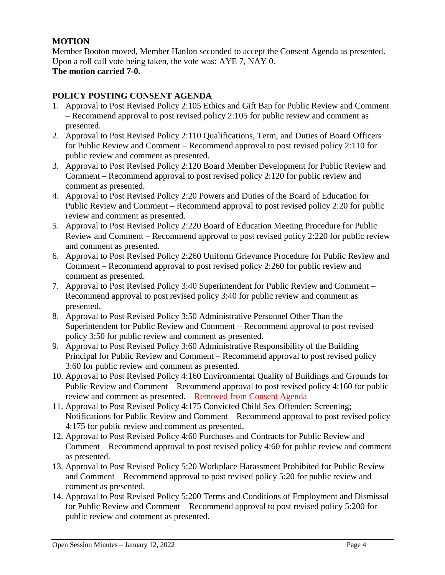# **MOTION**

Member Booton moved, Member Hanlon seconded to accept the Consent Agenda as presented. Upon a roll call vote being taken, the vote was: AYE 7, NAY 0. **The motion carried 7-0.** 

## **POLICY POSTING CONSENT AGENDA**

- 1. Approval to Post Revised Policy 2:105 Ethics and Gift Ban for Public Review and Comment – Recommend approval to post revised policy 2:105 for public review and comment as presented.
- 2. Approval to Post Revised Policy 2:110 Qualifications, Term, and Duties of Board Officers for Public Review and Comment – Recommend approval to post revised policy 2:110 for public review and comment as presented.
- 3. Approval to Post Revised Policy 2:120 Board Member Development for Public Review and Comment – Recommend approval to post revised policy 2:120 for public review and comment as presented.
- 4. Approval to Post Revised Policy 2:20 Powers and Duties of the Board of Education for Public Review and Comment – Recommend approval to post revised policy 2:20 for public review and comment as presented.
- 5. Approval to Post Revised Policy 2:220 Board of Education Meeting Procedure for Public Review and Comment – Recommend approval to post revised policy 2:220 for public review and comment as presented.
- 6. Approval to Post Revised Policy 2:260 Uniform Grievance Procedure for Public Review and Comment – Recommend approval to post revised policy 2:260 for public review and comment as presented.
- 7. Approval to Post Revised Policy 3:40 Superintendent for Public Review and Comment Recommend approval to post revised policy 3:40 for public review and comment as presented.
- 8. Approval to Post Revised Policy 3:50 Administrative Personnel Other Than the Superintendent for Public Review and Comment – Recommend approval to post revised policy 3:50 for public review and comment as presented.
- 9. Approval to Post Revised Policy 3:60 Administrative Responsibility of the Building Principal for Public Review and Comment – Recommend approval to post revised policy 3:60 for public review and comment as presented.
- 10. Approval to Post Revised Policy 4:160 Environmental Quality of Buildings and Grounds for Public Review and Comment – Recommend approval to post revised policy 4:160 for public review and comment as presented. – Removed from Consent Agenda
- 11. Approval to Post Revised Policy 4:175 Convicted Child Sex Offender; Screening; Notifications for Public Review and Comment – Recommend approval to post revised policy 4:175 for public review and comment as presented.
- 12. Approval to Post Revised Policy 4:60 Purchases and Contracts for Public Review and Comment – Recommend approval to post revised policy 4:60 for public review and comment as presented.
- 13. Approval to Post Revised Policy 5:20 Workplace Harassment Prohibited for Public Review and Comment – Recommend approval to post revised policy 5:20 for public review and comment as presented.
- 14. Approval to Post Revised Policy 5:200 Terms and Conditions of Employment and Dismissal for Public Review and Comment – Recommend approval to post revised policy 5:200 for public review and comment as presented.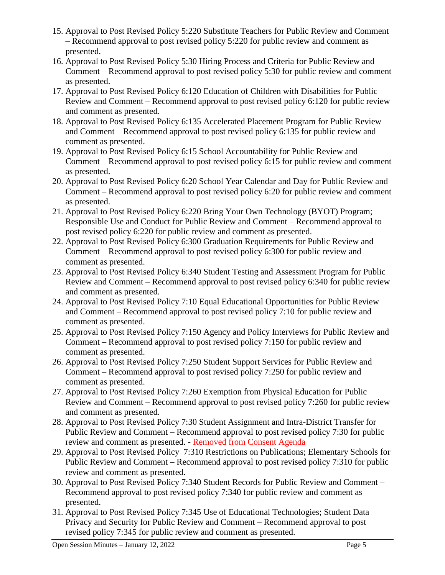- 15. Approval to Post Revised Policy 5:220 Substitute Teachers for Public Review and Comment – Recommend approval to post revised policy 5:220 for public review and comment as presented.
- 16. Approval to Post Revised Policy 5:30 Hiring Process and Criteria for Public Review and Comment – Recommend approval to post revised policy 5:30 for public review and comment as presented.
- 17. Approval to Post Revised Policy 6:120 Education of Children with Disabilities for Public Review and Comment – Recommend approval to post revised policy 6:120 for public review and comment as presented.
- 18. Approval to Post Revised Policy 6:135 Accelerated Placement Program for Public Review and Comment – Recommend approval to post revised policy 6:135 for public review and comment as presented.
- 19. Approval to Post Revised Policy 6:15 School Accountability for Public Review and Comment – Recommend approval to post revised policy 6:15 for public review and comment as presented.
- 20. Approval to Post Revised Policy 6:20 School Year Calendar and Day for Public Review and Comment – Recommend approval to post revised policy 6:20 for public review and comment as presented.
- 21. Approval to Post Revised Policy 6:220 Bring Your Own Technology (BYOT) Program; Responsible Use and Conduct for Public Review and Comment – Recommend approval to post revised policy 6:220 for public review and comment as presented.
- 22. Approval to Post Revised Policy 6:300 Graduation Requirements for Public Review and Comment – Recommend approval to post revised policy 6:300 for public review and comment as presented.
- 23. Approval to Post Revised Policy 6:340 Student Testing and Assessment Program for Public Review and Comment – Recommend approval to post revised policy 6:340 for public review and comment as presented.
- 24. Approval to Post Revised Policy 7:10 Equal Educational Opportunities for Public Review and Comment – Recommend approval to post revised policy 7:10 for public review and comment as presented.
- 25. Approval to Post Revised Policy 7:150 Agency and Policy Interviews for Public Review and Comment – Recommend approval to post revised policy 7:150 for public review and comment as presented.
- 26. Approval to Post Revised Policy 7:250 Student Support Services for Public Review and Comment – Recommend approval to post revised policy 7:250 for public review and comment as presented.
- 27. Approval to Post Revised Policy 7:260 Exemption from Physical Education for Public Review and Comment – Recommend approval to post revised policy 7:260 for public review and comment as presented.
- 28. Approval to Post Revised Policy 7:30 Student Assignment and Intra-District Transfer for Public Review and Comment – Recommend approval to post revised policy 7:30 for public review and comment as presented. - Removed from Consent Agenda
- 29. Approval to Post Revised Policy 7:310 Restrictions on Publications; Elementary Schools for Public Review and Comment – Recommend approval to post revised policy 7:310 for public review and comment as presented.
- 30. Approval to Post Revised Policy 7:340 Student Records for Public Review and Comment Recommend approval to post revised policy 7:340 for public review and comment as presented.
- 31. Approval to Post Revised Policy 7:345 Use of Educational Technologies; Student Data Privacy and Security for Public Review and Comment – Recommend approval to post revised policy 7:345 for public review and comment as presented.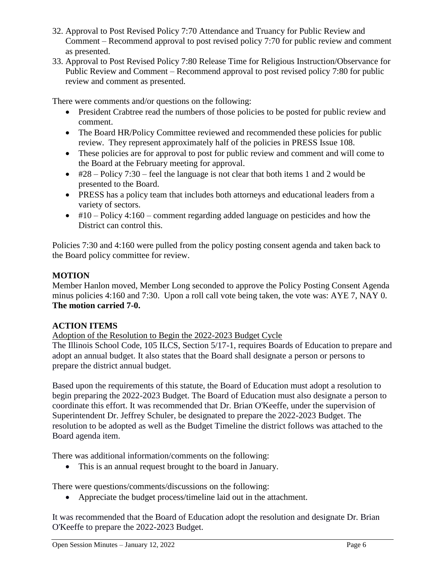- 32. Approval to Post Revised Policy 7:70 Attendance and Truancy for Public Review and Comment – Recommend approval to post revised policy 7:70 for public review and comment as presented.
- 33. Approval to Post Revised Policy 7:80 Release Time for Religious Instruction/Observance for Public Review and Comment – Recommend approval to post revised policy 7:80 for public review and comment as presented.

There were comments and/or questions on the following:

- President Crabtree read the numbers of those policies to be posted for public review and comment.
- The Board HR/Policy Committee reviewed and recommended these policies for public review. They represent approximately half of the policies in PRESS Issue 108.
- These policies are for approval to post for public review and comment and will come to the Board at the February meeting for approval.
- $\bullet$  #28 Policy 7:30 feel the language is not clear that both items 1 and 2 would be presented to the Board.
- PRESS has a policy team that includes both attorneys and educational leaders from a variety of sectors.
- $\bullet$  #10 Policy 4:160 comment regarding added language on pesticides and how the District can control this.

Policies 7:30 and 4:160 were pulled from the policy posting consent agenda and taken back to the Board policy committee for review.

# **MOTION**

Member Hanlon moved, Member Long seconded to approve the Policy Posting Consent Agenda minus policies 4:160 and 7:30. Upon a roll call vote being taken, the vote was: AYE 7, NAY 0. **The motion carried 7-0.** 

# **ACTION ITEMS**

Adoption of the Resolution to Begin the 2022-2023 Budget Cycle

The Illinois School Code, 105 ILCS, Section 5/17-1, requires Boards of Education to prepare and adopt an annual budget. It also states that the Board shall designate a person or persons to prepare the district annual budget.

Based upon the requirements of this statute, the Board of Education must adopt a resolution to begin preparing the 2022-2023 Budget. The Board of Education must also designate a person to coordinate this effort. It was recommended that Dr. Brian O'Keeffe, under the supervision of Superintendent Dr. Jeffrey Schuler, be designated to prepare the 2022-2023 Budget. The resolution to be adopted as well as the Budget Timeline the district follows was attached to the Board agenda item.

There was additional information/comments on the following:

This is an annual request brought to the board in January.

There were questions/comments/discussions on the following:

Appreciate the budget process/timeline laid out in the attachment.

It was recommended that the Board of Education adopt the resolution and designate Dr. Brian O'Keeffe to prepare the 2022-2023 Budget.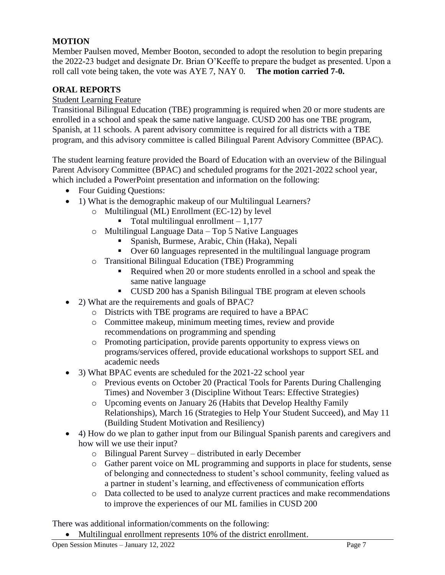# **MOTION**

Member Paulsen moved, Member Booton, seconded to adopt the resolution to begin preparing the 2022-23 budget and designate Dr. Brian O'Keeffe to prepare the budget as presented. Upon a roll call vote being taken, the vote was AYE 7, NAY 0. **The motion carried 7-0.** 

## **ORAL REPORTS**

### Student Learning Feature

Transitional Bilingual Education (TBE) programming is required when 20 or more students are enrolled in a school and speak the same native language. CUSD 200 has one TBE program, Spanish, at 11 schools. A parent advisory committee is required for all districts with a TBE program, and this advisory committee is called Bilingual Parent Advisory Committee (BPAC).

The student learning feature provided the Board of Education with an overview of the Bilingual Parent Advisory Committee (BPAC) and scheduled programs for the 2021-2022 school year, which included a PowerPoint presentation and information on the following:

- Four Guiding Questions:
- 1) What is the demographic makeup of our Multilingual Learners?
	- o Multilingual (ML) Enrollment (EC-12) by level
		- Total multilingual enrollment 1,177
		- o Multilingual Language Data Top 5 Native Languages
			- Spanish, Burmese, Arabic, Chin (Haka), Nepali
			- Over 60 languages represented in the multilingual language program
		- o Transitional Bilingual Education (TBE) Programming
			- Required when 20 or more students enrolled in a school and speak the same native language
			- CUSD 200 has a Spanish Bilingual TBE program at eleven schools
- 2) What are the requirements and goals of BPAC?
	- o Districts with TBE programs are required to have a BPAC
	- o Committee makeup, minimum meeting times, review and provide recommendations on programming and spending
	- o Promoting participation, provide parents opportunity to express views on programs/services offered, provide educational workshops to support SEL and academic needs
- 3) What BPAC events are scheduled for the 2021-22 school year
	- o Previous events on October 20 (Practical Tools for Parents During Challenging Times) and November 3 (Discipline Without Tears: Effective Strategies)
	- o Upcoming events on January 26 (Habits that Develop Healthy Family Relationships), March 16 (Strategies to Help Your Student Succeed), and May 11 (Building Student Motivation and Resiliency)
- 4) How do we plan to gather input from our Bilingual Spanish parents and caregivers and how will we use their input?
	- o Bilingual Parent Survey distributed in early December
	- o Gather parent voice on ML programming and supports in place for students, sense of belonging and connectedness to student's school community, feeling valued as a partner in student's learning, and effectiveness of communication efforts
	- o Data collected to be used to analyze current practices and make recommendations to improve the experiences of our ML families in CUSD 200

There was additional information/comments on the following:

Multilingual enrollment represents 10% of the district enrollment.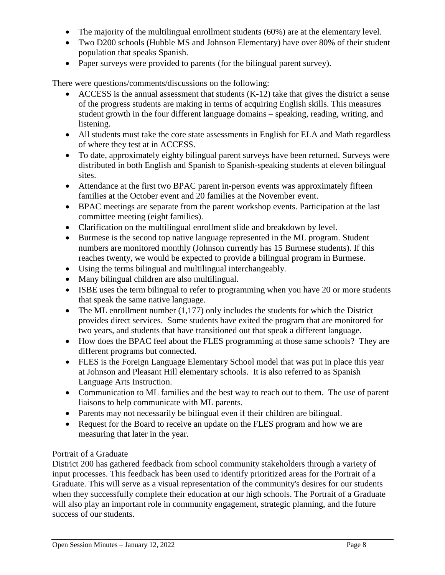- The majority of the multilingual enrollment students (60%) are at the elementary level.
- Two D200 schools (Hubble MS and Johnson Elementary) have over 80% of their student population that speaks Spanish.
- Paper surveys were provided to parents (for the bilingual parent survey).

There were questions/comments/discussions on the following:

- $\bullet$  ACCESS is the annual assessment that students (K-12) take that gives the district a sense of the progress students are making in terms of acquiring English skills. This measures student growth in the four different language domains – speaking, reading, writing, and listening.
- All students must take the core state assessments in English for ELA and Math regardless of where they test at in ACCESS.
- To date, approximately eighty bilingual parent surveys have been returned. Surveys were distributed in both English and Spanish to Spanish-speaking students at eleven bilingual sites.
- Attendance at the first two BPAC parent in-person events was approximately fifteen families at the October event and 20 families at the November event.
- BPAC meetings are separate from the parent workshop events. Participation at the last committee meeting (eight families).
- Clarification on the multilingual enrollment slide and breakdown by level.
- Burmese is the second top native language represented in the ML program. Student numbers are monitored monthly (Johnson currently has 15 Burmese students). If this reaches twenty, we would be expected to provide a bilingual program in Burmese.
- Using the terms bilingual and multilingual interchangeably.
- Many bilingual children are also multilingual.
- ISBE uses the term bilingual to refer to programming when you have 20 or more students that speak the same native language.
- The ML enrollment number  $(1,177)$  only includes the students for which the District provides direct services. Some students have exited the program that are monitored for two years, and students that have transitioned out that speak a different language.
- How does the BPAC feel about the FLES programming at those same schools? They are different programs but connected.
- FLES is the Foreign Language Elementary School model that was put in place this year at Johnson and Pleasant Hill elementary schools. It is also referred to as Spanish Language Arts Instruction.
- Communication to ML families and the best way to reach out to them. The use of parent liaisons to help communicate with ML parents.
- Parents may not necessarily be bilingual even if their children are bilingual.
- Request for the Board to receive an update on the FLES program and how we are measuring that later in the year.

### Portrait of a Graduate

District 200 has gathered feedback from school community stakeholders through a variety of input processes. This feedback has been used to identify prioritized areas for the Portrait of a Graduate. This will serve as a visual representation of the community's desires for our students when they successfully complete their education at our high schools. The Portrait of a Graduate will also play an important role in community engagement, strategic planning, and the future success of our students.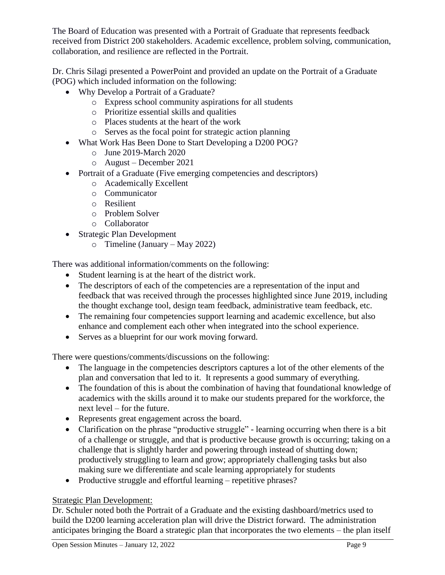The Board of Education was presented with a Portrait of Graduate that represents feedback received from District 200 stakeholders. Academic excellence, problem solving, communication, collaboration, and resilience are reflected in the Portrait.

Dr. Chris Silagi presented a PowerPoint and provided an update on the Portrait of a Graduate (POG) which included information on the following:

- Why Develop a Portrait of a Graduate?
	- o Express school community aspirations for all students
	- o Prioritize essential skills and qualities
	- o Places students at the heart of the work
	- o Serves as the focal point for strategic action planning
- What Work Has Been Done to Start Developing a D200 POG?
	- o June 2019-March 2020
	- o August December 2021
- Portrait of a Graduate (Five emerging competencies and descriptors)
	- o Academically Excellent
	- o Communicator
	- o Resilient
	- o Problem Solver
	- o Collaborator
- Strategic Plan Development
	- o Timeline (January May 2022)

There was additional information/comments on the following:

- Student learning is at the heart of the district work.
- The descriptors of each of the competencies are a representation of the input and feedback that was received through the processes highlighted since June 2019, including the thought exchange tool, design team feedback, administrative team feedback, etc.
- The remaining four competencies support learning and academic excellence, but also enhance and complement each other when integrated into the school experience.
- Serves as a blueprint for our work moving forward.

There were questions/comments/discussions on the following:

- The language in the competencies descriptors captures a lot of the other elements of the plan and conversation that led to it. It represents a good summary of everything.
- The foundation of this is about the combination of having that foundational knowledge of academics with the skills around it to make our students prepared for the workforce, the next level – for the future.
- Represents great engagement across the board.
- Clarification on the phrase "productive struggle" learning occurring when there is a bit of a challenge or struggle, and that is productive because growth is occurring; taking on a challenge that is slightly harder and powering through instead of shutting down; productively struggling to learn and grow; appropriately challenging tasks but also making sure we differentiate and scale learning appropriately for students
- Productive struggle and effortful learning repetitive phrases?

# Strategic Plan Development:

Dr. Schuler noted both the Portrait of a Graduate and the existing dashboard/metrics used to build the D200 learning acceleration plan will drive the District forward. The administration anticipates bringing the Board a strategic plan that incorporates the two elements – the plan itself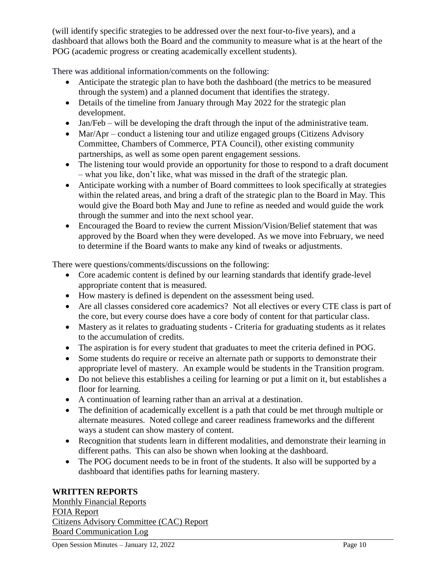(will identify specific strategies to be addressed over the next four-to-five years), and a dashboard that allows both the Board and the community to measure what is at the heart of the POG (academic progress or creating academically excellent students).

There was additional information/comments on the following:

- Anticipate the strategic plan to have both the dashboard (the metrics to be measured through the system) and a planned document that identifies the strategy.
- Details of the timeline from January through May 2022 for the strategic plan development.
- Jan/Feb will be developing the draft through the input of the administrative team.
- Mar/Apr conduct a listening tour and utilize engaged groups (Citizens Advisory Committee, Chambers of Commerce, PTA Council), other existing community partnerships, as well as some open parent engagement sessions.
- The listening tour would provide an opportunity for those to respond to a draft document – what you like, don't like, what was missed in the draft of the strategic plan.
- Anticipate working with a number of Board committees to look specifically at strategies within the related areas, and bring a draft of the strategic plan to the Board in May. This would give the Board both May and June to refine as needed and would guide the work through the summer and into the next school year.
- Encouraged the Board to review the current Mission/Vision/Belief statement that was approved by the Board when they were developed. As we move into February, we need to determine if the Board wants to make any kind of tweaks or adjustments.

There were questions/comments/discussions on the following:

- Core academic content is defined by our learning standards that identify grade-level appropriate content that is measured.
- How mastery is defined is dependent on the assessment being used.
- Are all classes considered core academics? Not all electives or every CTE class is part of the core, but every course does have a core body of content for that particular class.
- Mastery as it relates to graduating students Criteria for graduating students as it relates to the accumulation of credits.
- The aspiration is for every student that graduates to meet the criteria defined in POG.
- Some students do require or receive an alternate path or supports to demonstrate their appropriate level of mastery. An example would be students in the Transition program.
- Do not believe this establishes a ceiling for learning or put a limit on it, but establishes a floor for learning.
- A continuation of learning rather than an arrival at a destination.
- The definition of academically excellent is a path that could be met through multiple or alternate measures. Noted college and career readiness frameworks and the different ways a student can show mastery of content.
- Recognition that students learn in different modalities, and demonstrate their learning in different paths. This can also be shown when looking at the dashboard.
- The POG document needs to be in front of the students. It also will be supported by a dashboard that identifies paths for learning mastery.

### **WRITTEN REPORTS**

Monthly Financial Reports FOIA Report Citizens Advisory Committee (CAC) Report Board Communication Log